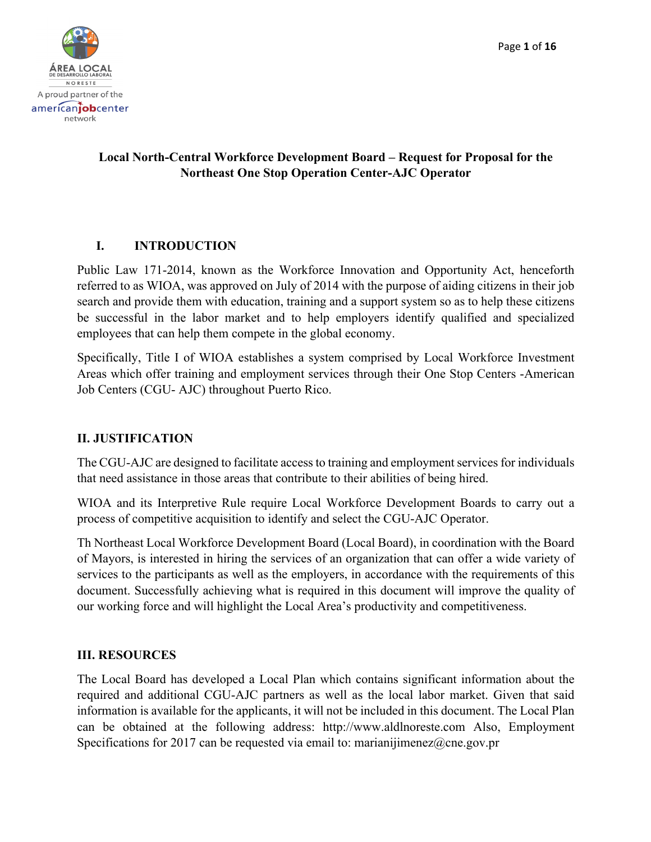

# **Local North-Central Workforce Development Board – Request for Proposal for the Northeast One Stop Operation Center-AJC Operator**

# **I. INTRODUCTION**

Public Law 171-2014, known as the Workforce Innovation and Opportunity Act, henceforth referred to as WIOA, was approved on July of 2014 with the purpose of aiding citizens in their job search and provide them with education, training and a support system so as to help these citizens be successful in the labor market and to help employers identify qualified and specialized employees that can help them compete in the global economy.

Specifically, Title I of WIOA establishes a system comprised by Local Workforce Investment Areas which offer training and employment services through their One Stop Centers -American Job Centers (CGU- AJC) throughout Puerto Rico.

# **II. JUSTIFICATION**

The CGU-AJC are designed to facilitate access to training and employment services for individuals that need assistance in those areas that contribute to their abilities of being hired.

WIOA and its Interpretive Rule require Local Workforce Development Boards to carry out a process of competitive acquisition to identify and select the CGU-AJC Operator.

Th Northeast Local Workforce Development Board (Local Board), in coordination with the Board of Mayors, is interested in hiring the services of an organization that can offer a wide variety of services to the participants as well as the employers, in accordance with the requirements of this document. Successfully achieving what is required in this document will improve the quality of our working force and will highlight the Local Area's productivity and competitiveness.

# **III. RESOURCES**

The Local Board has developed a Local Plan which contains significant information about the required and additional CGU-AJC partners as well as the local labor market. Given that said information is available for the applicants, it will not be included in this document. The Local Plan can be obtained at the following address: http://www.aldlnoreste.com Also, Employment Specifications for 2017 can be requested via email to: marianijimenez@cne.gov.pr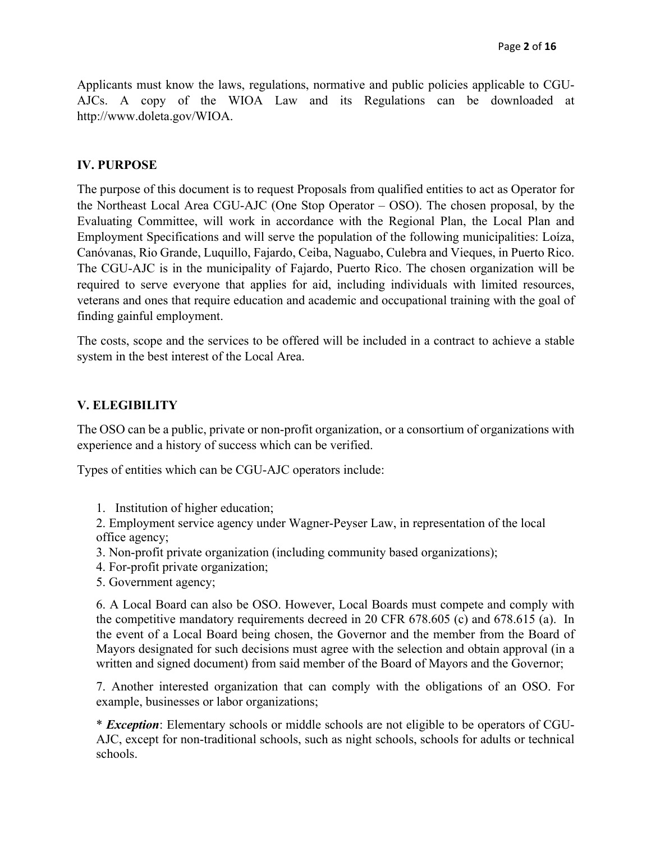Applicants must know the laws, regulations, normative and public policies applicable to CGU-AJCs. A copy of the WIOA Law and its Regulations can be downloaded at http://www.doleta.gov/WIOA.

#### **IV. PURPOSE**

The purpose of this document is to request Proposals from qualified entities to act as Operator for the Northeast Local Area CGU-AJC (One Stop Operator – OSO). The chosen proposal, by the Evaluating Committee, will work in accordance with the Regional Plan, the Local Plan and Employment Specifications and will serve the population of the following municipalities: Loíza, Canóvanas, Rio Grande, Luquillo, Fajardo, Ceiba, Naguabo, Culebra and Vieques, in Puerto Rico. The CGU-AJC is in the municipality of Fajardo, Puerto Rico. The chosen organization will be required to serve everyone that applies for aid, including individuals with limited resources, veterans and ones that require education and academic and occupational training with the goal of finding gainful employment.

The costs, scope and the services to be offered will be included in a contract to achieve a stable system in the best interest of the Local Area.

### **V. ELEGIBILITY**

The OSO can be a public, private or non-profit organization, or a consortium of organizations with experience and a history of success which can be verified.

Types of entities which can be CGU-AJC operators include:

1. Institution of higher education;

2. Employment service agency under Wagner-Peyser Law, in representation of the local office agency;

- 3. Non-profit private organization (including community based organizations);
- 4. For-profit private organization;
- 5. Government agency;

6. A Local Board can also be OSO. However, Local Boards must compete and comply with the competitive mandatory requirements decreed in 20 CFR 678.605 (c) and 678.615 (a). In the event of a Local Board being chosen, the Governor and the member from the Board of Mayors designated for such decisions must agree with the selection and obtain approval (in a written and signed document) from said member of the Board of Mayors and the Governor;

7. Another interested organization that can comply with the obligations of an OSO. For example, businesses or labor organizations;

\* *Exception*: Elementary schools or middle schools are not eligible to be operators of CGU-AJC, except for non-traditional schools, such as night schools, schools for adults or technical schools.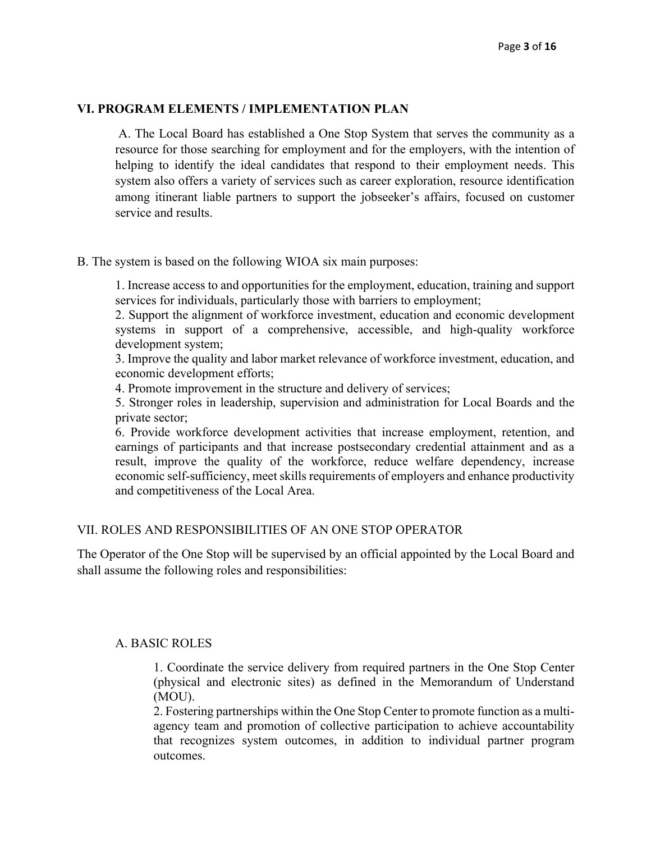#### **VI. PROGRAM ELEMENTS / IMPLEMENTATION PLAN**

A. The Local Board has established a One Stop System that serves the community as a resource for those searching for employment and for the employers, with the intention of helping to identify the ideal candidates that respond to their employment needs. This system also offers a variety of services such as career exploration, resource identification among itinerant liable partners to support the jobseeker's affairs, focused on customer service and results.

B. The system is based on the following WIOA six main purposes:

1. Increase access to and opportunities for the employment, education, training and support services for individuals, particularly those with barriers to employment;

2. Support the alignment of workforce investment, education and economic development systems in support of a comprehensive, accessible, and high-quality workforce development system;

3. Improve the quality and labor market relevance of workforce investment, education, and economic development efforts;

4. Promote improvement in the structure and delivery of services;

5. Stronger roles in leadership, supervision and administration for Local Boards and the private sector;

6. Provide workforce development activities that increase employment, retention, and earnings of participants and that increase postsecondary credential attainment and as a result, improve the quality of the workforce, reduce welfare dependency, increase economic self-sufficiency, meet skills requirements of employers and enhance productivity and competitiveness of the Local Area.

### VII. ROLES AND RESPONSIBILITIES OF AN ONE STOP OPERATOR

The Operator of the One Stop will be supervised by an official appointed by the Local Board and shall assume the following roles and responsibilities:

### A. BASIC ROLES

1. Coordinate the service delivery from required partners in the One Stop Center (physical and electronic sites) as defined in the Memorandum of Understand (MOU).

2. Fostering partnerships within the One Stop Center to promote function as a multiagency team and promotion of collective participation to achieve accountability that recognizes system outcomes, in addition to individual partner program outcomes.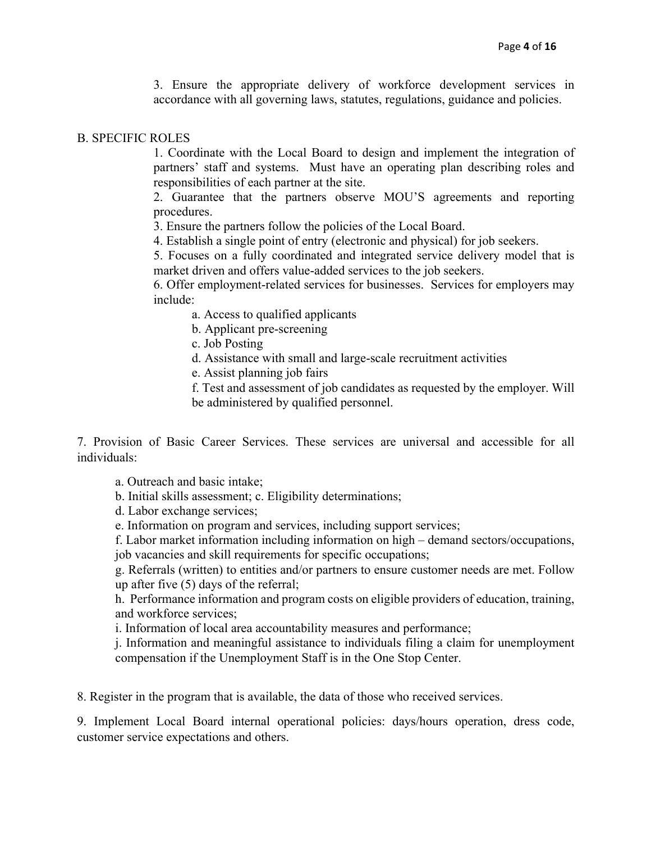3. Ensure the appropriate delivery of workforce development services in accordance with all governing laws, statutes, regulations, guidance and policies.

#### B. SPECIFIC ROLES

1. Coordinate with the Local Board to design and implement the integration of partners' staff and systems. Must have an operating plan describing roles and responsibilities of each partner at the site.

2. Guarantee that the partners observe MOU'S agreements and reporting procedures.

3. Ensure the partners follow the policies of the Local Board.

4. Establish a single point of entry (electronic and physical) for job seekers.

5. Focuses on a fully coordinated and integrated service delivery model that is market driven and offers value-added services to the job seekers.

6. Offer employment-related services for businesses. Services for employers may include:

a. Access to qualified applicants

b. Applicant pre-screening

c. Job Posting

d. Assistance with small and large-scale recruitment activities

e. Assist planning job fairs

f. Test and assessment of job candidates as requested by the employer. Will be administered by qualified personnel.

7. Provision of Basic Career Services. These services are universal and accessible for all individuals:

a. Outreach and basic intake;

b. Initial skills assessment; c. Eligibility determinations;

d. Labor exchange services;

e. Information on program and services, including support services;

f. Labor market information including information on high – demand sectors/occupations, job vacancies and skill requirements for specific occupations;

g. Referrals (written) to entities and/or partners to ensure customer needs are met. Follow up after five (5) days of the referral;

h. Performance information and program costs on eligible providers of education, training, and workforce services;

i. Information of local area accountability measures and performance;

j. Information and meaningful assistance to individuals filing a claim for unemployment compensation if the Unemployment Staff is in the One Stop Center.

8. Register in the program that is available, the data of those who received services.

9. Implement Local Board internal operational policies: days/hours operation, dress code, customer service expectations and others.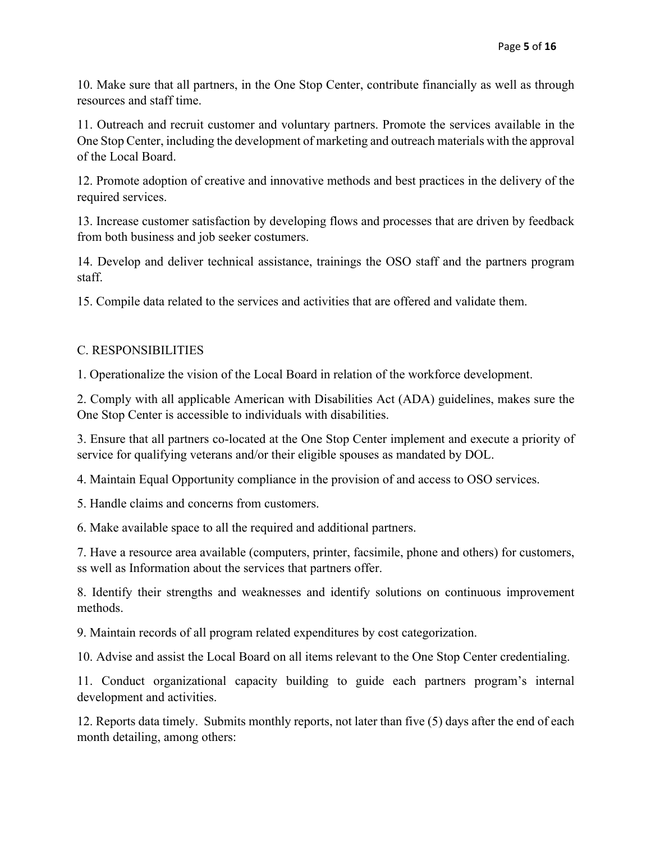10. Make sure that all partners, in the One Stop Center, contribute financially as well as through resources and staff time.

11. Outreach and recruit customer and voluntary partners. Promote the services available in the One Stop Center, including the development of marketing and outreach materials with the approval of the Local Board.

12. Promote adoption of creative and innovative methods and best practices in the delivery of the required services.

13. Increase customer satisfaction by developing flows and processes that are driven by feedback from both business and job seeker costumers.

14. Develop and deliver technical assistance, trainings the OSO staff and the partners program staff.

15. Compile data related to the services and activities that are offered and validate them.

### C. RESPONSIBILITIES

1. Operationalize the vision of the Local Board in relation of the workforce development.

2. Comply with all applicable American with Disabilities Act (ADA) guidelines, makes sure the One Stop Center is accessible to individuals with disabilities.

3. Ensure that all partners co-located at the One Stop Center implement and execute a priority of service for qualifying veterans and/or their eligible spouses as mandated by DOL.

4. Maintain Equal Opportunity compliance in the provision of and access to OSO services.

5. Handle claims and concerns from customers.

6. Make available space to all the required and additional partners.

7. Have a resource area available (computers, printer, facsimile, phone and others) for customers, ss well as Information about the services that partners offer.

8. Identify their strengths and weaknesses and identify solutions on continuous improvement methods.

9. Maintain records of all program related expenditures by cost categorization.

10. Advise and assist the Local Board on all items relevant to the One Stop Center credentialing.

11. Conduct organizational capacity building to guide each partners program's internal development and activities.

12. Reports data timely. Submits monthly reports, not later than five (5) days after the end of each month detailing, among others: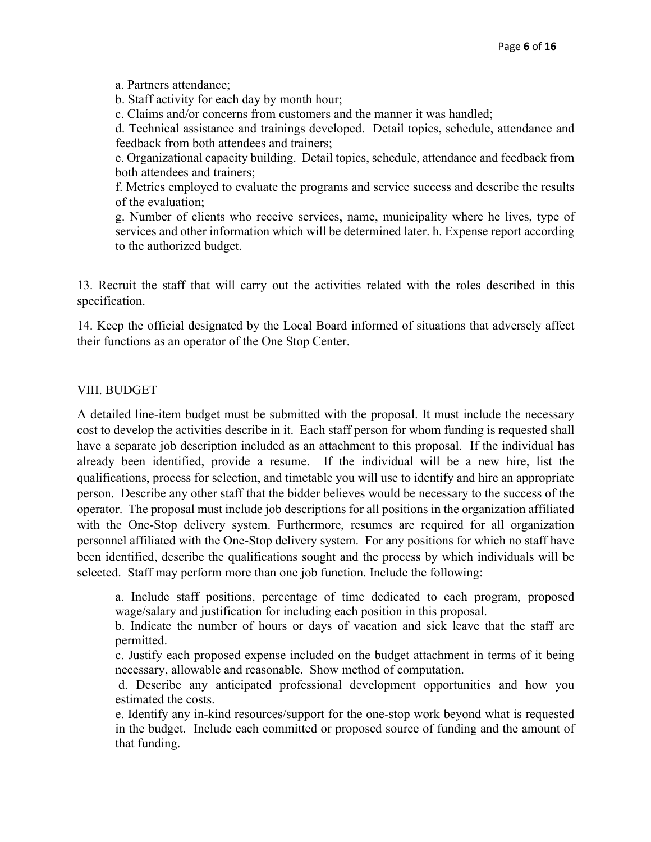a. Partners attendance;

b. Staff activity for each day by month hour;

c. Claims and/or concerns from customers and the manner it was handled;

d. Technical assistance and trainings developed. Detail topics, schedule, attendance and feedback from both attendees and trainers;

e. Organizational capacity building. Detail topics, schedule, attendance and feedback from both attendees and trainers;

f. Metrics employed to evaluate the programs and service success and describe the results of the evaluation;

g. Number of clients who receive services, name, municipality where he lives, type of services and other information which will be determined later. h. Expense report according to the authorized budget.

13. Recruit the staff that will carry out the activities related with the roles described in this specification.

14. Keep the official designated by the Local Board informed of situations that adversely affect their functions as an operator of the One Stop Center.

# VIII. BUDGET

A detailed line-item budget must be submitted with the proposal. It must include the necessary cost to develop the activities describe in it. Each staff person for whom funding is requested shall have a separate job description included as an attachment to this proposal. If the individual has already been identified, provide a resume. If the individual will be a new hire, list the qualifications, process for selection, and timetable you will use to identify and hire an appropriate person. Describe any other staff that the bidder believes would be necessary to the success of the operator. The proposal must include job descriptions for all positions in the organization affiliated with the One-Stop delivery system. Furthermore, resumes are required for all organization personnel affiliated with the One-Stop delivery system. For any positions for which no staff have been identified, describe the qualifications sought and the process by which individuals will be selected. Staff may perform more than one job function. Include the following:

a. Include staff positions, percentage of time dedicated to each program, proposed wage/salary and justification for including each position in this proposal.

b. Indicate the number of hours or days of vacation and sick leave that the staff are permitted.

c. Justify each proposed expense included on the budget attachment in terms of it being necessary, allowable and reasonable. Show method of computation.

d. Describe any anticipated professional development opportunities and how you estimated the costs.

e. Identify any in-kind resources/support for the one-stop work beyond what is requested in the budget. Include each committed or proposed source of funding and the amount of that funding.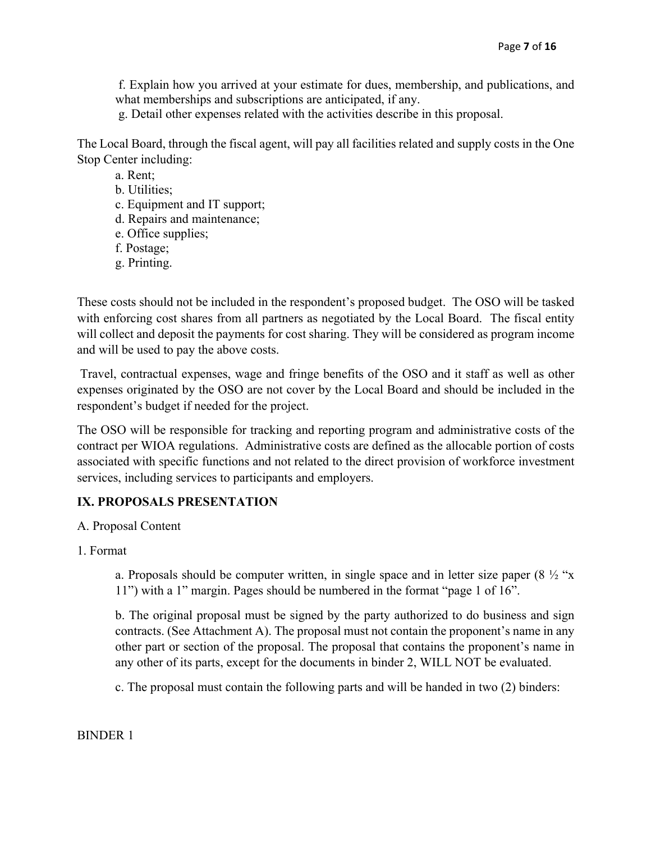f. Explain how you arrived at your estimate for dues, membership, and publications, and what memberships and subscriptions are anticipated, if any.

g. Detail other expenses related with the activities describe in this proposal.

The Local Board, through the fiscal agent, will pay all facilities related and supply costs in the One Stop Center including:

a. Rent;

b. Utilities;

c. Equipment and IT support;

d. Repairs and maintenance;

e. Office supplies;

f. Postage;

g. Printing.

These costs should not be included in the respondent's proposed budget. The OSO will be tasked with enforcing cost shares from all partners as negotiated by the Local Board. The fiscal entity will collect and deposit the payments for cost sharing. They will be considered as program income and will be used to pay the above costs.

Travel, contractual expenses, wage and fringe benefits of the OSO and it staff as well as other expenses originated by the OSO are not cover by the Local Board and should be included in the respondent's budget if needed for the project.

The OSO will be responsible for tracking and reporting program and administrative costs of the contract per WIOA regulations. Administrative costs are defined as the allocable portion of costs associated with specific functions and not related to the direct provision of workforce investment services, including services to participants and employers.

# **IX. PROPOSALS PRESENTATION**

A. Proposal Content

1. Format

a. Proposals should be computer written, in single space and in letter size paper  $(8 \frac{1}{2}$  "x" 11") with a 1" margin. Pages should be numbered in the format "page 1 of 16".

b. The original proposal must be signed by the party authorized to do business and sign contracts. (See Attachment A). The proposal must not contain the proponent's name in any other part or section of the proposal. The proposal that contains the proponent's name in any other of its parts, except for the documents in binder 2, WILL NOT be evaluated.

c. The proposal must contain the following parts and will be handed in two (2) binders:

BINDER 1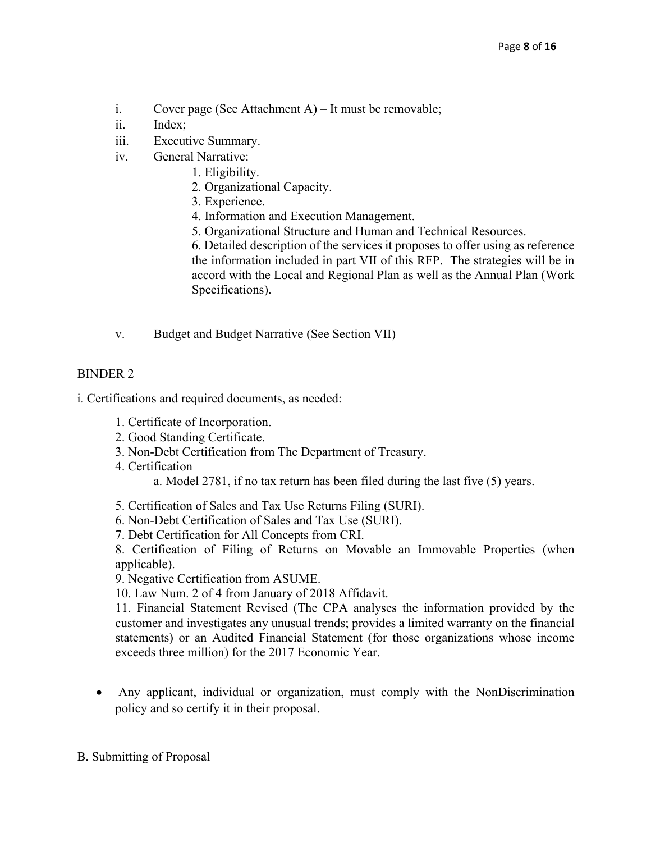- i. Cover page (See Attachment A) It must be removable;
- ii. Index;
- iii. Executive Summary.
- iv. General Narrative:
	- 1. Eligibility.
	- 2. Organizational Capacity.
	- 3. Experience.
	- 4. Information and Execution Management.
	- 5. Organizational Structure and Human and Technical Resources.

6. Detailed description of the services it proposes to offer using as reference the information included in part VII of this RFP. The strategies will be in accord with the Local and Regional Plan as well as the Annual Plan (Work Specifications).

v. Budget and Budget Narrative (See Section VII)

# BINDER 2

i. Certifications and required documents, as needed:

- 1. Certificate of Incorporation.
- 2. Good Standing Certificate.
- 3. Non-Debt Certification from The Department of Treasury.
- 4. Certification

a. Model 2781, if no tax return has been filed during the last five (5) years.

- 5. Certification of Sales and Tax Use Returns Filing (SURI).
- 6. Non-Debt Certification of Sales and Tax Use (SURI).
- 7. Debt Certification for All Concepts from CRI.

8. Certification of Filing of Returns on Movable an Immovable Properties (when applicable).

9. Negative Certification from ASUME.

10. Law Num. 2 of 4 from January of 2018 Affidavit.

11. Financial Statement Revised (The CPA analyses the information provided by the customer and investigates any unusual trends; provides a limited warranty on the financial statements) or an Audited Financial Statement (for those organizations whose income exceeds three million) for the 2017 Economic Year.

• Any applicant, individual or organization, must comply with the NonDiscrimination policy and so certify it in their proposal.

### B. Submitting of Proposal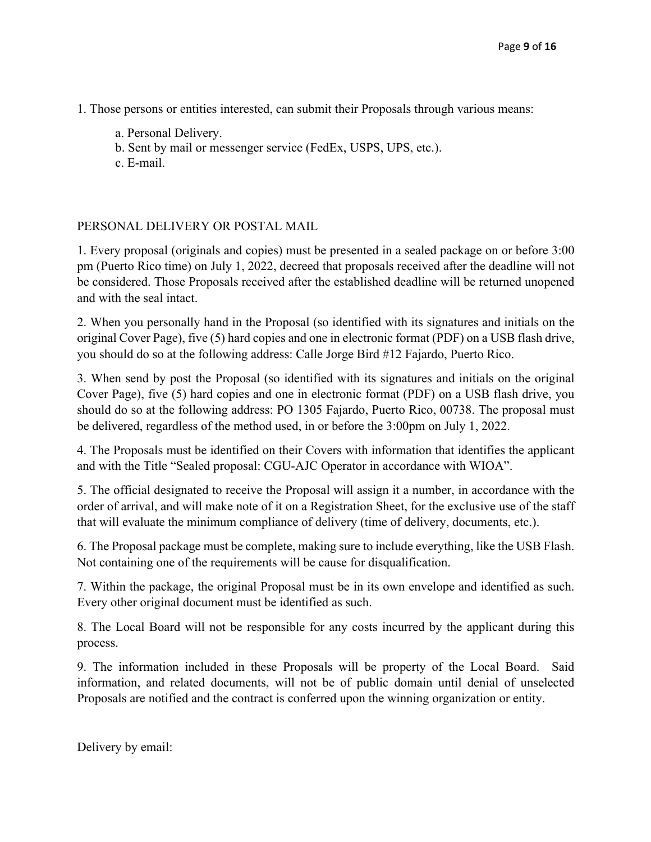- 1. Those persons or entities interested, can submit their Proposals through various means:
	- a. Personal Delivery.
	- b. Sent by mail or messenger service (FedEx, USPS, UPS, etc.).
	- c. E-mail.

# PERSONAL DELIVERY OR POSTAL MAIL

1. Every proposal (originals and copies) must be presented in a sealed package on or before 3:00 pm (Puerto Rico time) on July 1, 2022, decreed that proposals received after the deadline will not be considered. Those Proposals received after the established deadline will be returned unopened and with the seal intact.

2. When you personally hand in the Proposal (so identified with its signatures and initials on the original Cover Page), five (5) hard copies and one in electronic format (PDF) on a USB flash drive, you should do so at the following address: Calle Jorge Bird #12 Fajardo, Puerto Rico.

3. When send by post the Proposal (so identified with its signatures and initials on the original Cover Page), five (5) hard copies and one in electronic format (PDF) on a USB flash drive, you should do so at the following address: PO 1305 Fajardo, Puerto Rico, 00738. The proposal must be delivered, regardless of the method used, in or before the 3:00pm on July 1, 2022.

4. The Proposals must be identified on their Covers with information that identifies the applicant and with the Title "Sealed proposal: CGU-AJC Operator in accordance with WIOA".

5. The official designated to receive the Proposal will assign it a number, in accordance with the order of arrival, and will make note of it on a Registration Sheet, for the exclusive use of the staff that will evaluate the minimum compliance of delivery (time of delivery, documents, etc.).

6. The Proposal package must be complete, making sure to include everything, like the USB Flash. Not containing one of the requirements will be cause for disqualification.

7. Within the package, the original Proposal must be in its own envelope and identified as such. Every other original document must be identified as such.

8. The Local Board will not be responsible for any costs incurred by the applicant during this process.

9. The information included in these Proposals will be property of the Local Board. Said information, and related documents, will not be of public domain until denial of unselected Proposals are notified and the contract is conferred upon the winning organization or entity.

Delivery by email: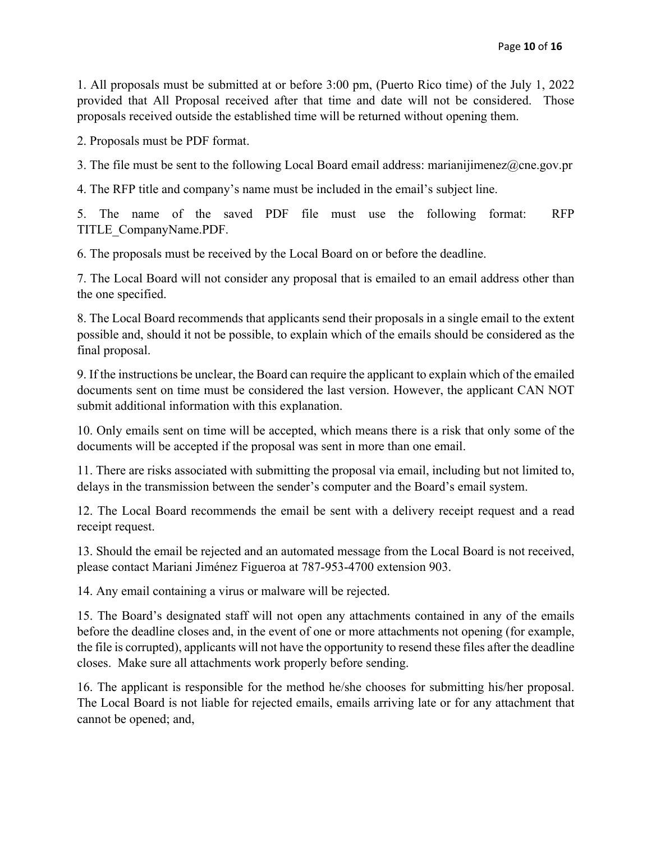1. All proposals must be submitted at or before 3:00 pm, (Puerto Rico time) of the July 1, 2022 provided that All Proposal received after that time and date will not be considered. Those proposals received outside the established time will be returned without opening them.

2. Proposals must be PDF format.

3. The file must be sent to the following Local Board email address: marianijimenez@cne.gov.pr

4. The RFP title and company's name must be included in the email's subject line.

5. The name of the saved PDF file must use the following format: RFP TITLE\_CompanyName.PDF.

6. The proposals must be received by the Local Board on or before the deadline.

7. The Local Board will not consider any proposal that is emailed to an email address other than the one specified.

8. The Local Board recommends that applicants send their proposals in a single email to the extent possible and, should it not be possible, to explain which of the emails should be considered as the final proposal.

9. If the instructions be unclear, the Board can require the applicant to explain which of the emailed documents sent on time must be considered the last version. However, the applicant CAN NOT submit additional information with this explanation.

10. Only emails sent on time will be accepted, which means there is a risk that only some of the documents will be accepted if the proposal was sent in more than one email.

11. There are risks associated with submitting the proposal via email, including but not limited to, delays in the transmission between the sender's computer and the Board's email system.

12. The Local Board recommends the email be sent with a delivery receipt request and a read receipt request.

13. Should the email be rejected and an automated message from the Local Board is not received, please contact Mariani Jiménez Figueroa at 787-953-4700 extension 903.

14. Any email containing a virus or malware will be rejected.

15. The Board's designated staff will not open any attachments contained in any of the emails before the deadline closes and, in the event of one or more attachments not opening (for example, the file is corrupted), applicants will not have the opportunity to resend these files after the deadline closes. Make sure all attachments work properly before sending.

16. The applicant is responsible for the method he/she chooses for submitting his/her proposal. The Local Board is not liable for rejected emails, emails arriving late or for any attachment that cannot be opened; and,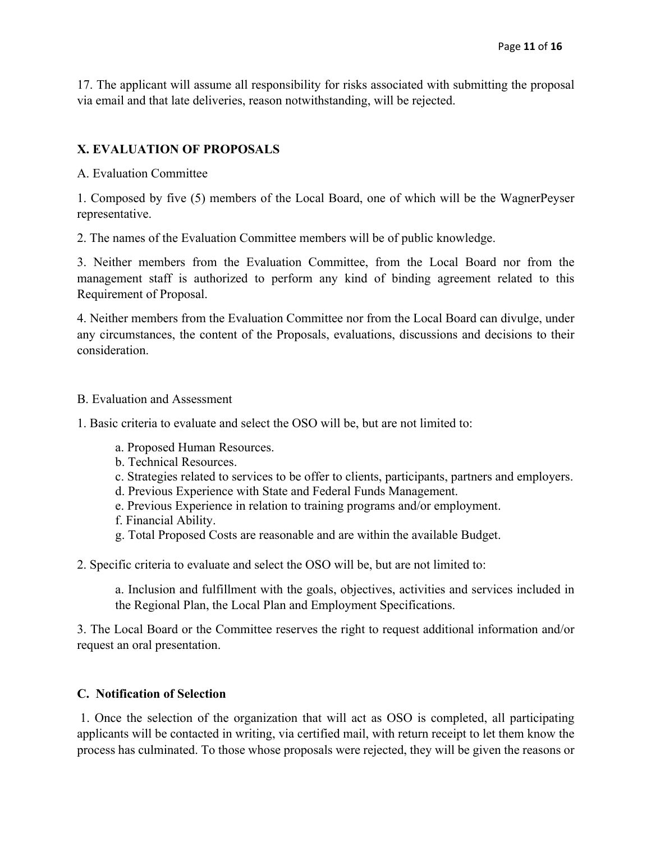17. The applicant will assume all responsibility for risks associated with submitting the proposal via email and that late deliveries, reason notwithstanding, will be rejected.

## **X. EVALUATION OF PROPOSALS**

A. Evaluation Committee

1. Composed by five (5) members of the Local Board, one of which will be the WagnerPeyser representative.

2. The names of the Evaluation Committee members will be of public knowledge.

3. Neither members from the Evaluation Committee, from the Local Board nor from the management staff is authorized to perform any kind of binding agreement related to this Requirement of Proposal.

4. Neither members from the Evaluation Committee nor from the Local Board can divulge, under any circumstances, the content of the Proposals, evaluations, discussions and decisions to their consideration.

#### B. Evaluation and Assessment

- 1. Basic criteria to evaluate and select the OSO will be, but are not limited to:
	- a. Proposed Human Resources.
	- b. Technical Resources.
	- c. Strategies related to services to be offer to clients, participants, partners and employers.
	- d. Previous Experience with State and Federal Funds Management.
	- e. Previous Experience in relation to training programs and/or employment.
	- f. Financial Ability.
	- g. Total Proposed Costs are reasonable and are within the available Budget.
- 2. Specific criteria to evaluate and select the OSO will be, but are not limited to:

a. Inclusion and fulfillment with the goals, objectives, activities and services included in the Regional Plan, the Local Plan and Employment Specifications.

3. The Local Board or the Committee reserves the right to request additional information and/or request an oral presentation.

#### **C. Notification of Selection**

1. Once the selection of the organization that will act as OSO is completed, all participating applicants will be contacted in writing, via certified mail, with return receipt to let them know the process has culminated. To those whose proposals were rejected, they will be given the reasons or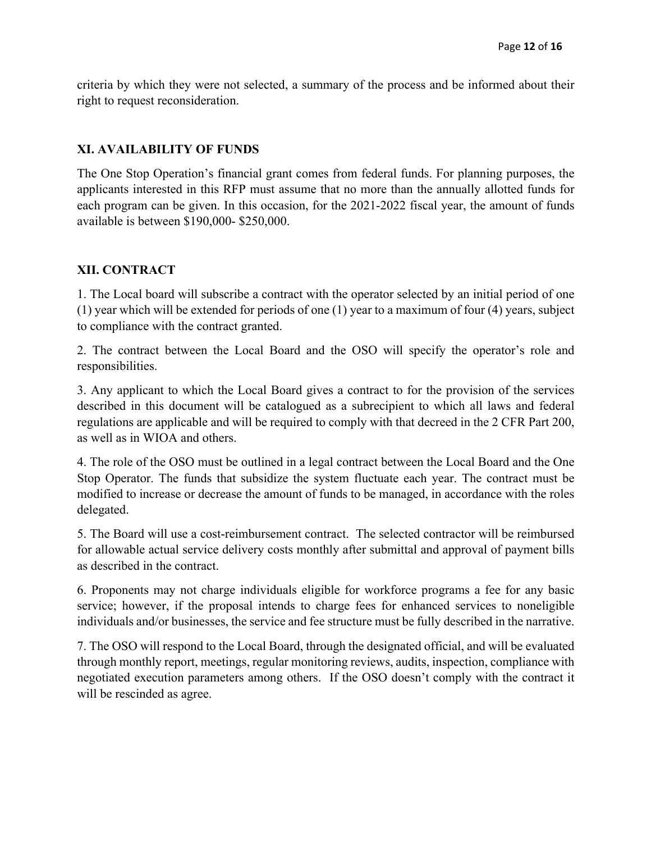criteria by which they were not selected, a summary of the process and be informed about their right to request reconsideration.

## **XI. AVAILABILITY OF FUNDS**

The One Stop Operation's financial grant comes from federal funds. For planning purposes, the applicants interested in this RFP must assume that no more than the annually allotted funds for each program can be given. In this occasion, for the 2021-2022 fiscal year, the amount of funds available is between \$190,000- \$250,000.

### **XII. CONTRACT**

1. The Local board will subscribe a contract with the operator selected by an initial period of one (1) year which will be extended for periods of one (1) year to a maximum of four (4) years, subject to compliance with the contract granted.

2. The contract between the Local Board and the OSO will specify the operator's role and responsibilities.

3. Any applicant to which the Local Board gives a contract to for the provision of the services described in this document will be catalogued as a subrecipient to which all laws and federal regulations are applicable and will be required to comply with that decreed in the 2 CFR Part 200, as well as in WIOA and others.

4. The role of the OSO must be outlined in a legal contract between the Local Board and the One Stop Operator. The funds that subsidize the system fluctuate each year. The contract must be modified to increase or decrease the amount of funds to be managed, in accordance with the roles delegated.

5. The Board will use a cost-reimbursement contract. The selected contractor will be reimbursed for allowable actual service delivery costs monthly after submittal and approval of payment bills as described in the contract.

6. Proponents may not charge individuals eligible for workforce programs a fee for any basic service; however, if the proposal intends to charge fees for enhanced services to noneligible individuals and/or businesses, the service and fee structure must be fully described in the narrative.

7. The OSO will respond to the Local Board, through the designated official, and will be evaluated through monthly report, meetings, regular monitoring reviews, audits, inspection, compliance with negotiated execution parameters among others. If the OSO doesn't comply with the contract it will be rescinded as agree.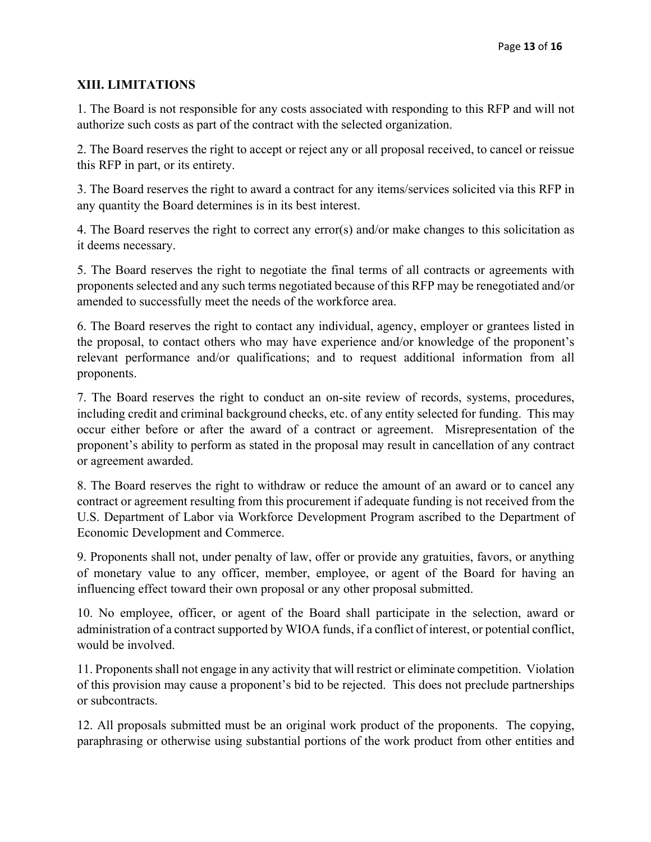# **XIII. LIMITATIONS**

1. The Board is not responsible for any costs associated with responding to this RFP and will not authorize such costs as part of the contract with the selected organization.

2. The Board reserves the right to accept or reject any or all proposal received, to cancel or reissue this RFP in part, or its entirety.

3. The Board reserves the right to award a contract for any items/services solicited via this RFP in any quantity the Board determines is in its best interest.

4. The Board reserves the right to correct any error(s) and/or make changes to this solicitation as it deems necessary.

5. The Board reserves the right to negotiate the final terms of all contracts or agreements with proponents selected and any such terms negotiated because of this RFP may be renegotiated and/or amended to successfully meet the needs of the workforce area.

6. The Board reserves the right to contact any individual, agency, employer or grantees listed in the proposal, to contact others who may have experience and/or knowledge of the proponent's relevant performance and/or qualifications; and to request additional information from all proponents.

7. The Board reserves the right to conduct an on-site review of records, systems, procedures, including credit and criminal background checks, etc. of any entity selected for funding. This may occur either before or after the award of a contract or agreement. Misrepresentation of the proponent's ability to perform as stated in the proposal may result in cancellation of any contract or agreement awarded.

8. The Board reserves the right to withdraw or reduce the amount of an award or to cancel any contract or agreement resulting from this procurement if adequate funding is not received from the U.S. Department of Labor via Workforce Development Program ascribed to the Department of Economic Development and Commerce.

9. Proponents shall not, under penalty of law, offer or provide any gratuities, favors, or anything of monetary value to any officer, member, employee, or agent of the Board for having an influencing effect toward their own proposal or any other proposal submitted.

10. No employee, officer, or agent of the Board shall participate in the selection, award or administration of a contract supported by WIOA funds, if a conflict of interest, or potential conflict, would be involved.

11. Proponents shall not engage in any activity that will restrict or eliminate competition. Violation of this provision may cause a proponent's bid to be rejected. This does not preclude partnerships or subcontracts.

12. All proposals submitted must be an original work product of the proponents. The copying, paraphrasing or otherwise using substantial portions of the work product from other entities and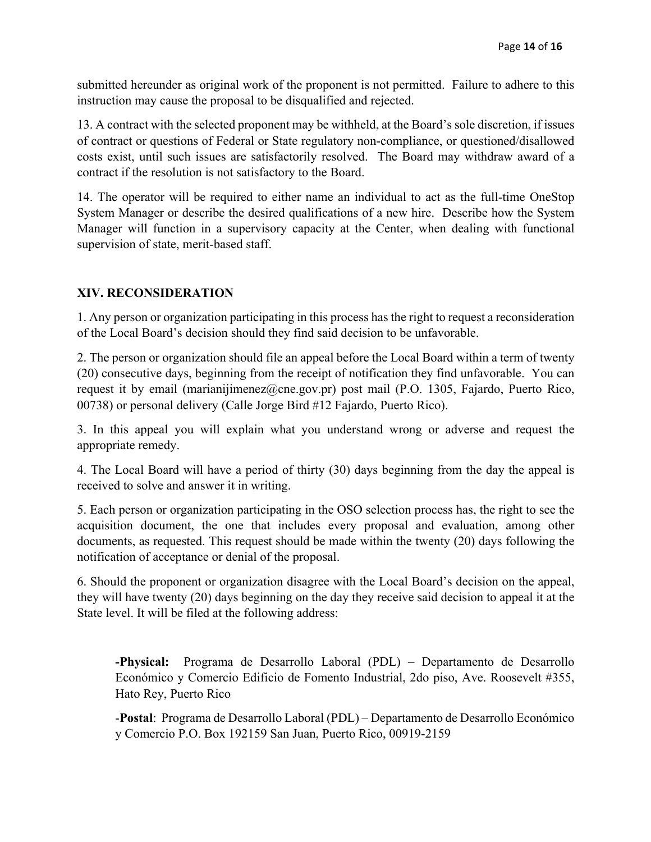submitted hereunder as original work of the proponent is not permitted. Failure to adhere to this instruction may cause the proposal to be disqualified and rejected.

13. A contract with the selected proponent may be withheld, at the Board's sole discretion, if issues of contract or questions of Federal or State regulatory non-compliance, or questioned/disallowed costs exist, until such issues are satisfactorily resolved. The Board may withdraw award of a contract if the resolution is not satisfactory to the Board.

14. The operator will be required to either name an individual to act as the full-time OneStop System Manager or describe the desired qualifications of a new hire. Describe how the System Manager will function in a supervisory capacity at the Center, when dealing with functional supervision of state, merit-based staff.

# **XIV. RECONSIDERATION**

1. Any person or organization participating in this process has the right to request a reconsideration of the Local Board's decision should they find said decision to be unfavorable.

2. The person or organization should file an appeal before the Local Board within a term of twenty (20) consecutive days, beginning from the receipt of notification they find unfavorable. You can request it by email (marianijimenez@cne.gov.pr) post mail (P.O. 1305, Fajardo, Puerto Rico, 00738) or personal delivery (Calle Jorge Bird #12 Fajardo, Puerto Rico).

3. In this appeal you will explain what you understand wrong or adverse and request the appropriate remedy.

4. The Local Board will have a period of thirty (30) days beginning from the day the appeal is received to solve and answer it in writing.

5. Each person or organization participating in the OSO selection process has, the right to see the acquisition document, the one that includes every proposal and evaluation, among other documents, as requested. This request should be made within the twenty (20) days following the notification of acceptance or denial of the proposal.

6. Should the proponent or organization disagree with the Local Board's decision on the appeal, they will have twenty (20) days beginning on the day they receive said decision to appeal it at the State level. It will be filed at the following address:

**-Physical:** Programa de Desarrollo Laboral (PDL) – Departamento de Desarrollo Económico y Comercio Edificio de Fomento Industrial, 2do piso, Ave. Roosevelt #355, Hato Rey, Puerto Rico

-**Postal**: Programa de Desarrollo Laboral (PDL) – Departamento de Desarrollo Económico y Comercio P.O. Box 192159 San Juan, Puerto Rico, 00919-2159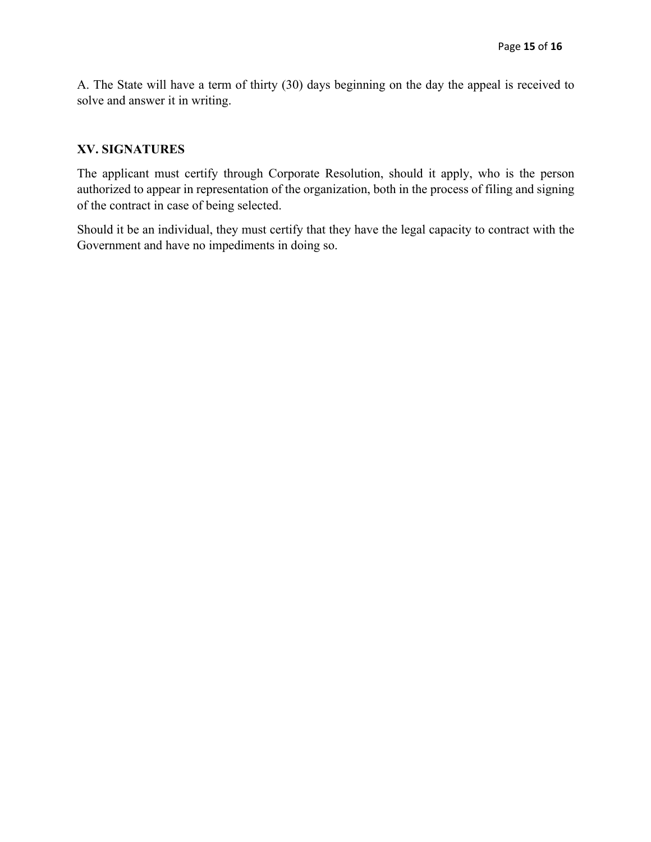A. The State will have a term of thirty (30) days beginning on the day the appeal is received to solve and answer it in writing.

# **XV. SIGNATURES**

The applicant must certify through Corporate Resolution, should it apply, who is the person authorized to appear in representation of the organization, both in the process of filing and signing of the contract in case of being selected.

Should it be an individual, they must certify that they have the legal capacity to contract with the Government and have no impediments in doing so.